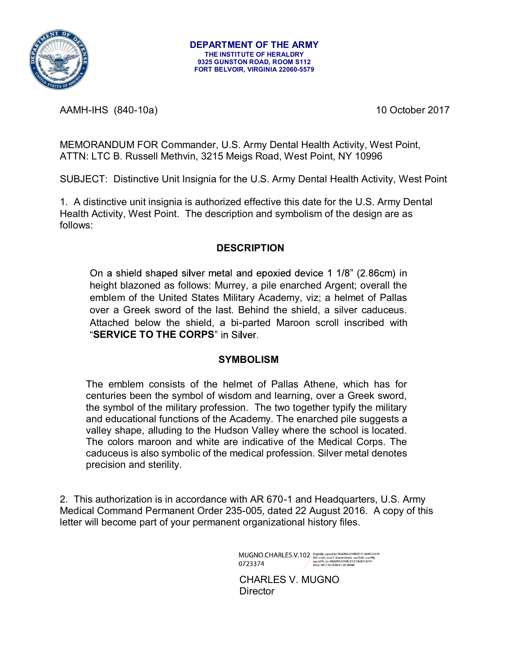

AAMH-IHS (840-10a) 10 October 2017

MEMORANDUM FOR Commander, U.S. Army Dental Health Activity, West Point, ATTN: LTC B. Russell Methvin, 3215 Meigs Road, West Point, NY 10996

SUBJECT: Distinctive Unit Insignia for the U.S. Army Dental Health Activity, West Point

1. A distinctive unit insignia is authorized effective this date for the U.S. Army Dental Health Activity, West Point. The description and symbolism of the design are as follows:

#### **DESCRIPTION**

On a shield shaped silver metal and epoxied device 1 1/8" (2.86cm) in height blazoned as follows: Murrey, a pile enarched Argent; overall the emblem of the United States Military Academy, viz; a helmet of Pallas over a Greek sword of the last. Behind the shield, a silver caduceus. Attached below the shield, a bi-parted Maroon scroll inscribed with "SERVICE TO THE CORPS" in Silver.

### **SYMBOLISM**

The emblem consists of the helmet of Pallas Athene, which has for centuries been the symbol of wisdom and learning, over a Greek sword, the symbol of the military profession. The two together typify the military and educational functions of the Academy. The enarched pile suggests a valley shape, alluding to the Hudson Valley where the school is located. The colors maroon and white are indicative of the Medical Corps. The caduceus is also symbolic of the medical profession. Silver metal denotes precision and sterility.

2. This authorization is in accordance with AR 670-1 and Headquarters, U.S. Army Medical Command Permanent Order 235-005, dated 22 August 2016. A copy of this letter will become part of your permanent organizational history files.

 $\text{MUGNO.CHARLES.V.102}\scriptstyle{{\tiny [D] \text{Uof} \text{LHS} \text{U}}\xspace_{\text{DHS} \text{cellS, 0} \text{cellS, 0} \text{cellS, 0} \text{cellS, 0} \text{cellS, 0} \text{cellS, 0} \text{cellS, 0} \text{cellS, 0} \text{cellS, 0} \text{cellS, 0} \text{cellS, 0} \text{cellS, 0} \text{cellS, 0} \text{cellS, 0} \text{cellS, 0} \text{cellS, 0} \text{cellS, 0} \text{cellS, 0} \text{cellS,$ 

 CHARLES V. MUGNO **Director**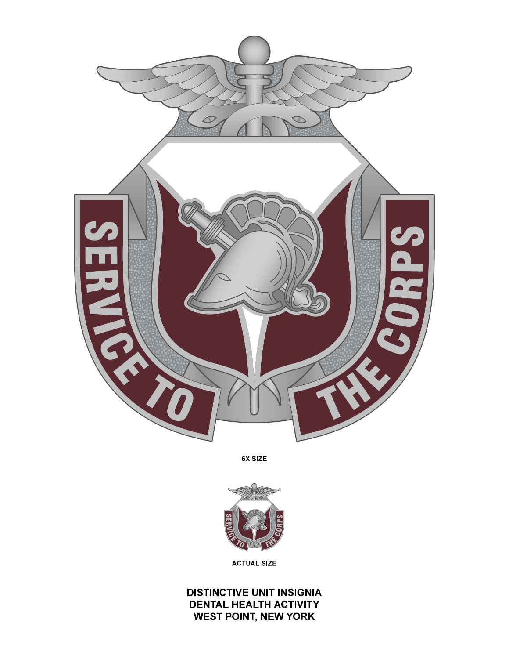

6X SIZE



**ACTUAL SIZE** 

**DISTINCTIVE UNIT INSIGNIA DENTAL HEALTH ACTIVITY WEST POINT, NEW YORK**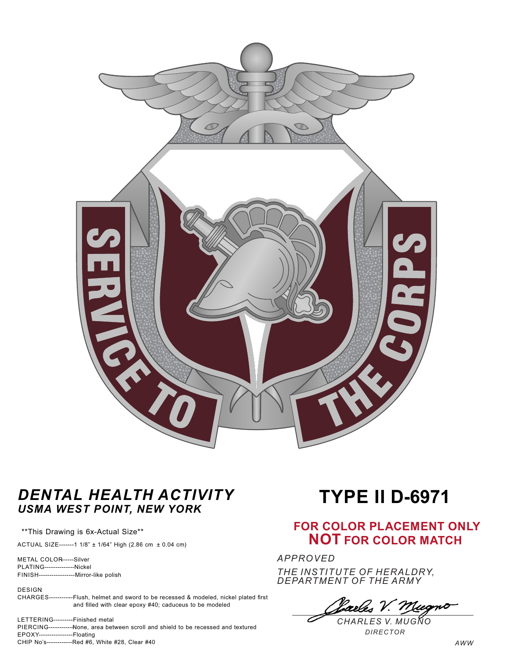

## *DENTAL HEALTH ACTIVITY USMA WEST POINT, NEW YORK*

\*\*This Drawing is 6x-Actual Size\*\*

ACTUAL SIZE-------1 1/8" ± 1/64" High (2.86 cm ± 0.04 cm)

METAL COLOR------Silver PLATING--------------Nickel FINISH-----------------Mirror-like polish

DESIGN:

CHARGES-----------Flush, helmet and sword to be recessed & modeled, nickel plated first and filled with clear epoxy #40; caduceus to be modeled

LETTERING---------Finished metal PIERCING------------None, area between scroll and shield to be recessed and textured EPOXY----------------Floating CHIP No's------------Red #6, White #28, Clear #40

# **TYPE II D-6971**

### **FOR COLOR PLACEMENT ONLY NOT FOR COLOR MATCH**

*APPROVED THE INSTITUTE OF HERALDRY, DEPARTMENT OF THE ARMY*

*CHARLES V. MUGNO*

*DIRECTOR*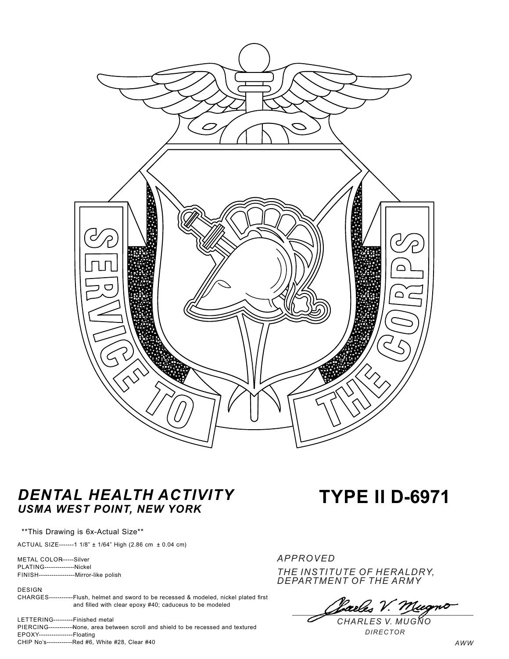

## *DENTAL HEALTH ACTIVITY USMA WEST POINT, NEW YORK*

\*\*This Drawing is 6x-Actual Size\*\*

ACTUAL SIZE-------1 1/8" ± 1/64" High (2.86 cm ± 0.04 cm)

METAL COLOR------Silver PLATING--------------Nickel FINISH-----------------Mirror-like polish

DESIGN:

CHARGES-----------Flush, helmet and sword to be recessed & modeled, nickel plated first and filled with clear epoxy #40; caduceus to be modeled

LETTERING---------Finished metal PIERCING------------None, area between scroll and shield to be recessed and textured EPOXY----------------Floating CHIP No's------------Red #6, White #28, Clear #40

# **TYPE II D-6971**

*APPROVED THE INSTITUTE OF HERALDRY, DEPARTMENT OF THE ARMY*

*CHARLES V. MUGNO*

*DIRECTOR*